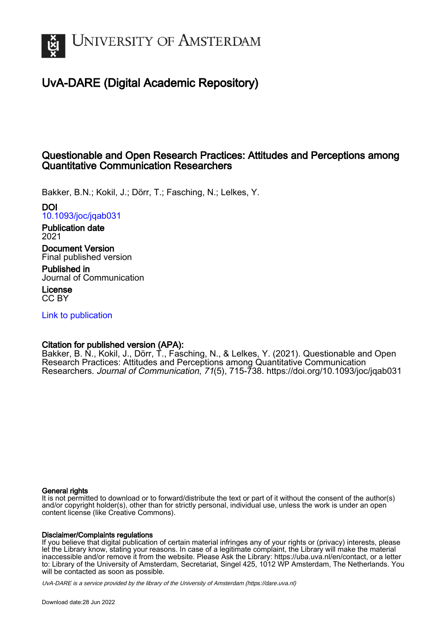

# UvA-DARE (Digital Academic Repository)

# Questionable and Open Research Practices: Attitudes and Perceptions among Quantitative Communication Researchers

Bakker, B.N.; Kokil, J.; Dörr, T.; Fasching, N.; Lelkes, Y.

DOI

[10.1093/joc/jqab031](https://doi.org/10.1093/joc/jqab031) Publication date

2021

Document Version Final published version

Published in Journal of Communication

License CC BY

[Link to publication](https://dare.uva.nl/personal/pure/en/publications/questionable-and-open-research-practices-attitudes-and-perceptions-among-quantitative-communication-researchers(912a2d58-4229-4922-aa35-9eab30a01a28).html)

# Citation for published version (APA):

Bakker, B. N., Kokil, J., Dörr, T., Fasching, N., & Lelkes, Y. (2021). Questionable and Open Research Practices: Attitudes and Perceptions among Quantitative Communication Researchers. Journal of Communication, 71(5), 715-738. <https://doi.org/10.1093/joc/jqab031>

# General rights

It is not permitted to download or to forward/distribute the text or part of it without the consent of the author(s) and/or copyright holder(s), other than for strictly personal, individual use, unless the work is under an open content license (like Creative Commons).

# Disclaimer/Complaints regulations

If you believe that digital publication of certain material infringes any of your rights or (privacy) interests, please let the Library know, stating your reasons. In case of a legitimate complaint, the Library will make the material inaccessible and/or remove it from the website. Please Ask the Library: https://uba.uva.nl/en/contact, or a letter to: Library of the University of Amsterdam, Secretariat, Singel 425, 1012 WP Amsterdam, The Netherlands. You will be contacted as soon as possible.

UvA-DARE is a service provided by the library of the University of Amsterdam (http*s*://dare.uva.nl)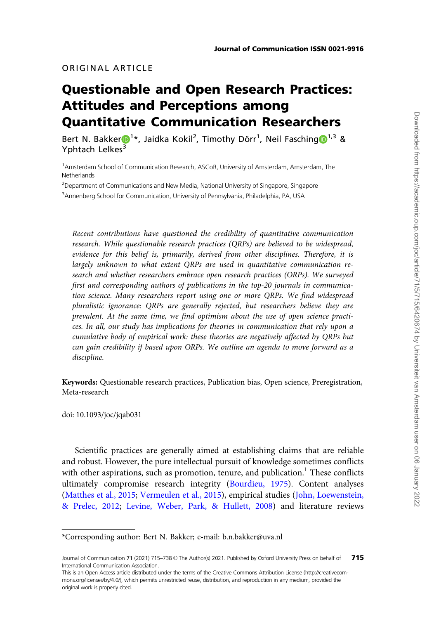# ORIGINAL ARTICLE

# Questionable and Open Research Practices: Attitudes and Perceptions among Quantitative Communication Researchers

Be[r](https://orcid.org/0000-0002-6491-5045)t N. Bakker $\mathbf{D}^{1*}$  $\mathbf{D}^{1*}$  $\mathbf{D}^{1*}$ , Jaidka Kokil<sup>2</sup>, Timothy Dörr<sup>1</sup>, Neil Fasching $\mathbf{D}^{1,3}$  & Yphtach Lelkes<sup>3</sup>

<sup>1</sup> Amsterdam School of Communication Research, ASCoR, University of Amsterdam, Amsterdam, The **Netherlands** 

<sup>2</sup>Department of Communications and New Media, National University of Singapore, Singapore <sup>3</sup> Annenberg School for Communication, University of Pennsylvania, Philadelphia, PA, USA

Recent contributions have questioned the credibility of quantitative communication research. While questionable research practices (QRPs) are believed to be widespread, evidence for this belief is, primarily, derived from other disciplines. Therefore, it is largely unknown to what extent QRPs are used in quantitative communication research and whether researchers embrace open research practices (ORPs). We surveyed first and corresponding authors of publications in the top-20 journals in communication science. Many researchers report using one or more QRPs. We find widespread pluralistic ignorance: QRPs are generally rejected, but researchers believe they are prevalent. At the same time, we find optimism about the use of open science practices. In all, our study has implications for theories in communication that rely upon a cumulative body of empirical work: these theories are negatively affected by QRPs but can gain credibility if based upon ORPs. We outline an agenda to move forward as a discipline.

Keywords: Questionable research practices, Publication bias, Open science, Preregistration, Meta-research

doi: 10.1093/joc/jqab031

Scientific practices are generally aimed at establishing claims that are reliable and robust. However, the pure intellectual pursuit of knowledge sometimes conflicts with other aspirations, such as promotion, tenure, and publication.<sup>1</sup> These conflicts ultimately compromise research integrity [\(Bourdieu, 1975](#page-22-0)). Content analyses ([Matthes et al., 2015;](#page-23-0) [Vermeulen et al., 2015](#page-24-0)), empirical studies ([John, Loewenstein,](#page-23-0) [& Prelec, 2012;](#page-23-0) [Levine, Weber, Park,](#page-23-0) & [Hullett, 2008](#page-23-0)) and literature reviews

\*Corresponding author: Bert N. Bakker; e-mail: b.n.bakker@uva.nl

Journal of Communication 71 (2021) 715–738 © The Author(s) 2021. Published by Oxford University Press on behalf of International Communication Association. 715

This is an Open Access article distributed under the terms of the Creative Commons Attribution License (http://creativecommons.org/licenses/by/4.0/), which permits unrestricted reuse, distribution, and reproduction in any medium, provided the original work is properly cited.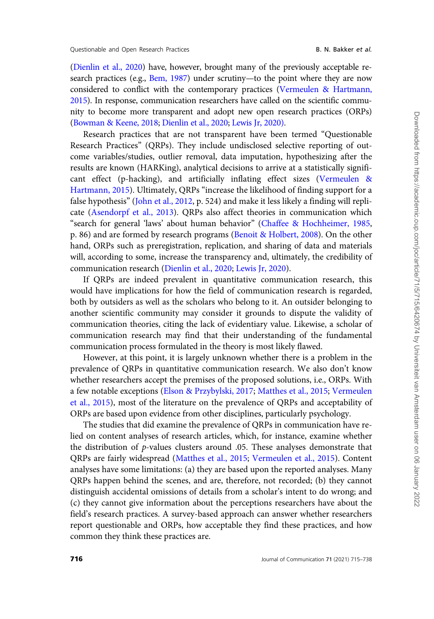[\(Dienlin et al., 2020](#page-22-0)) have, however, brought many of the previously acceptable re-search practices (e.g., [Bem, 1987\)](#page-21-0) under scrutiny—to the point where they are now considered to conflict with the contemporary practices [\(Vermeulen](#page-24-0) & [Hartmann,](#page-24-0) [2015](#page-24-0)). In response, communication researchers have called on the scientific community to become more transparent and adopt new open research practices (ORPs) [\(Bowman](#page-22-0) & [Keene, 2018;](#page-22-0) [Dienlin et al., 2020](#page-22-0); [Lewis Jr, 2020\)](#page-23-0).

Research practices that are not transparent have been termed "Questionable Research Practices" (QRPs). They include undisclosed selective reporting of outcome variables/studies, outlier removal, data imputation, hypothesizing after the results are known (HARKing), analytical decisions to arrive at a statistically significant effect (p-hacking), and artificially inflating effect sizes [\(Vermeulen](#page-24-0) & [Hartmann, 2015\)](#page-24-0). Ultimately, QRPs "increase the likelihood of finding support for a false hypothesis" [\(John et al., 2012,](#page-23-0) p. 524) and make it less likely a finding will replicate ([Asendorpf et al., 2013\)](#page-21-0). QRPs also affect theories in communication which "search for general 'laws' about human behavior" ([Chaffee & Hochheimer, 1985,](#page-22-0) p. 86) and are formed by research programs [\(Benoit](#page-22-0) & [Holbert, 2008](#page-22-0)). On the other hand, ORPs such as preregistration, replication, and sharing of data and materials will, according to some, increase the transparency and, ultimately, the credibility of communication research [\(Dienlin et al., 2020;](#page-22-0) [Lewis Jr, 2020\)](#page-23-0).

If QRPs are indeed prevalent in quantitative communication research, this would have implications for how the field of communication research is regarded, both by outsiders as well as the scholars who belong to it. An outsider belonging to another scientific community may consider it grounds to dispute the validity of communication theories, citing the lack of evidentiary value. Likewise, a scholar of communication research may find that their understanding of the fundamental communication process formulated in the theory is most likely flawed.

However, at this point, it is largely unknown whether there is a problem in the prevalence of QRPs in quantitative communication research. We also don't know whether researchers accept the premises of the proposed solutions, i.e., ORPs. With a few notable exceptions [\(Elson](#page-22-0) & [Przybylski, 2017;](#page-22-0) [Matthes et al., 2015](#page-23-0); [Vermeulen](#page-24-0) [et al., 2015](#page-24-0)), most of the literature on the prevalence of QRPs and acceptability of ORPs are based upon evidence from other disciplines, particularly psychology.

The studies that did examine the prevalence of QRPs in communication have relied on content analyses of research articles, which, for instance, examine whether the distribution of p-values clusters around .05. These analyses demonstrate that QRPs are fairly widespread [\(Matthes et al., 2015;](#page-23-0) [Vermeulen et al., 2015](#page-24-0)). Content analyses have some limitations: (a) they are based upon the reported analyses. Many QRPs happen behind the scenes, and are, therefore, not recorded; (b) they cannot distinguish accidental omissions of details from a scholar's intent to do wrong; and (c) they cannot give information about the perceptions researchers have about the field's research practices. A survey-based approach can answer whether researchers report questionable and ORPs, how acceptable they find these practices, and how common they think these practices are.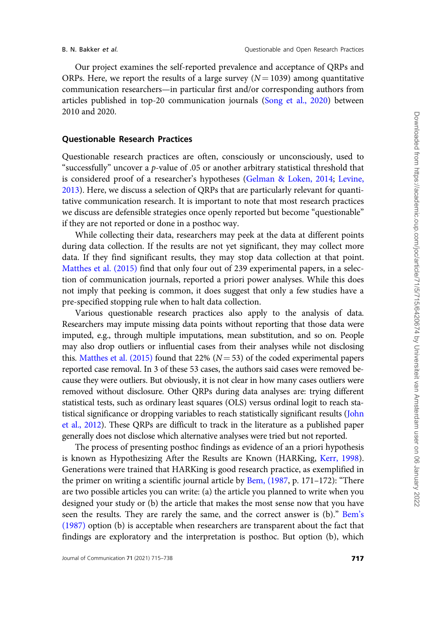Our project examines the self-reported prevalence and acceptance of QRPs and ORPs. Here, we report the results of a large survey ( $N = 1039$ ) among quantitative communication researchers—in particular first and/or corresponding authors from articles published in top-20 communication journals [\(Song et al., 2020](#page-24-0)) between 2010 and 2020.

#### Questionable Research Practices

Questionable research practices are often, consciously or unconsciously, used to "successfully" uncover a p-value of .05 or another arbitrary statistical threshold that is considered proof of a researcher's hypotheses [\(Gelman & Loken, 2014](#page-23-0); [Levine,](#page-23-0) [2013](#page-23-0)). Here, we discuss a selection of QRPs that are particularly relevant for quantitative communication research. It is important to note that most research practices we discuss are defensible strategies once openly reported but become "questionable" if they are not reported or done in a posthoc way.

While collecting their data, researchers may peek at the data at different points during data collection. If the results are not yet significant, they may collect more data. If they find significant results, they may stop data collection at that point. [Matthes et al. \(2015\)](#page-23-0) find that only four out of 239 experimental papers, in a selection of communication journals, reported a priori power analyses. While this does not imply that peeking is common, it does suggest that only a few studies have a pre-specified stopping rule when to halt data collection.

Various questionable research practices also apply to the analysis of data. Researchers may impute missing data points without reporting that those data were imputed, e.g., through multiple imputations, mean substitution, and so on. People may also drop outliers or influential cases from their analyses while not disclosing this. [Matthes et al. \(2015\)](#page-23-0) found that 22% ( $N = 53$ ) of the coded experimental papers reported case removal. In 3 of these 53 cases, the authors said cases were removed because they were outliers. But obviously, it is not clear in how many cases outliers were removed without disclosure. Other QRPs during data analyses are: trying different statistical tests, such as ordinary least squares (OLS) versus ordinal logit to reach statistical significance or dropping variables to reach statistically significant results ([John](#page-23-0) [et al., 2012\)](#page-23-0). These QRPs are difficult to track in the literature as a published paper generally does not disclose which alternative analyses were tried but not reported.

The process of presenting posthoc findings as evidence of an a priori hypothesis is known as Hypothesizing After the Results are Known (HARKing, [Kerr, 1998](#page-23-0)). Generations were trained that HARKing is good research practice, as exemplified in the primer on writing a scientific journal article by [Bem, \(1987,](#page-21-0) p. 171–172): "There are two possible articles you can write: (a) the article you planned to write when you designed your study or (b) the article that makes the most sense now that you have seen the results. They are rarely the same, and the correct answer is (b)." [Bem's](#page-21-0) [\(1987\)](#page-21-0) option (b) is acceptable when researchers are transparent about the fact that findings are exploratory and the interpretation is posthoc. But option (b), which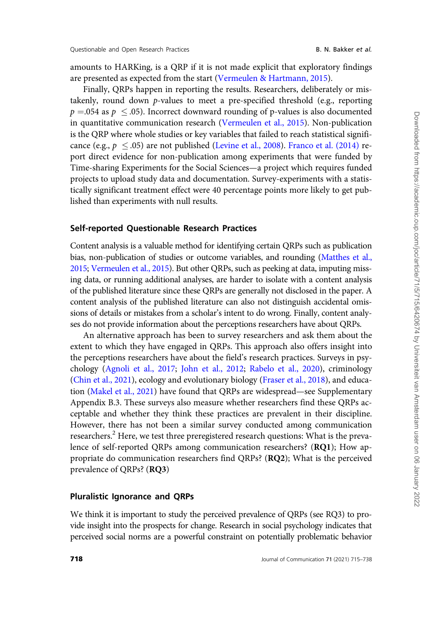amounts to HARKing, is a QRP if it is not made explicit that exploratory findings are presented as expected from the start [\(Vermeulen](#page-24-0) & [Hartmann, 2015](#page-24-0)).

Finally, QRPs happen in reporting the results. Researchers, deliberately or mistakenly, round down  $p$ -values to meet a pre-specified threshold (e.g., reporting  $p =$ .054 as  $p~\leq$  .05). Incorrect downward rounding of p-values is also documented in quantitative communication research ([Vermeulen et al., 2015\)](#page-24-0). Non-publication is the QRP where whole studies or key variables that failed to reach statistical significance (e.g.,  $p \leq .05$ ) are not published ([Levine et al., 2008](#page-23-0)). [Franco et al. \(2014\)](#page-23-0) report direct evidence for non-publication among experiments that were funded by Time-sharing Experiments for the Social Sciences—a project which requires funded projects to upload study data and documentation. Survey-experiments with a statistically significant treatment effect were 40 percentage points more likely to get published than experiments with null results.

#### Self-reported Questionable Research Practices

Content analysis is a valuable method for identifying certain QRPs such as publication bias, non-publication of studies or outcome variables, and rounding ([Matthes et al.,](#page-23-0) [2015](#page-23-0); [Vermeulen et al., 2015\)](#page-24-0). But other QRPs, such as peeking at data, imputing missing data, or running additional analyses, are harder to isolate with a content analysis of the published literature since these QRPs are generally not disclosed in the paper. A content analysis of the published literature can also not distinguish accidental omissions of details or mistakes from a scholar's intent to do wrong. Finally, content analyses do not provide information about the perceptions researchers have about QRPs.

An alternative approach has been to survey researchers and ask them about the extent to which they have engaged in QRPs. This approach also offers insight into the perceptions researchers have about the field's research practices. Surveys in psychology [\(Agnoli et al., 2017;](#page-21-0) [John et al., 2012;](#page-23-0) [Rabelo et al., 2020\)](#page-24-0), criminology [\(Chin et al., 2021](#page-22-0)), ecology and evolutionary biology [\(Fraser et al., 2018](#page-23-0)), and education [\(Makel et al., 2021](#page-23-0)) have found that QRPs are widespread—see Supplementary Appendix B.3. These surveys also measure whether researchers find these QRPs acceptable and whether they think these practices are prevalent in their discipline. However, there has not been a similar survey conducted among communication researchers.<sup>2</sup> Here, we test three preregistered research questions: What is the prevalence of self-reported QRPs among communication researchers? (RQ1); How appropriate do communication researchers find QRPs? (RQ2); What is the perceived prevalence of QRPs? (RQ3)

#### Pluralistic Ignorance and QRPs

We think it is important to study the perceived prevalence of QRPs (see RQ3) to provide insight into the prospects for change. Research in social psychology indicates that perceived social norms are a powerful constraint on potentially problematic behavior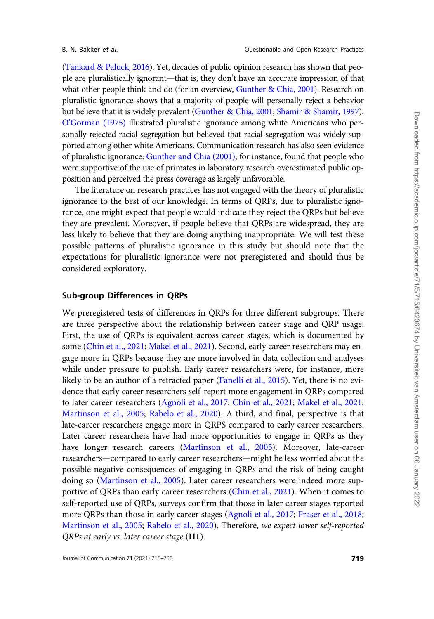([Tankard & Paluck, 2016\)](#page-24-0). Yet, decades of public opinion research has shown that people are pluralistically ignorant—that is, they don't have an accurate impression of that what other people think and do (for an overview, [Gunther & Chia, 2001](#page-23-0)). Research on pluralistic ignorance shows that a majority of people will personally reject a behavior but believe that it is widely prevalent ([Gunther & Chia, 2001](#page-23-0); [Shamir](#page-24-0) [& Shamir, 1997\)](#page-24-0). [O'Gorman \(1975\)](#page-24-0) illustrated pluralistic ignorance among white Americans who personally rejected racial segregation but believed that racial segregation was widely supported among other white Americans. Communication research has also seen evidence of pluralistic ignorance: [Gunther and Chia \(2001\),](#page-23-0) for instance, found that people who were supportive of the use of primates in laboratory research overestimated public opposition and perceived the press coverage as largely unfavorable.

The literature on research practices has not engaged with the theory of pluralistic ignorance to the best of our knowledge. In terms of QRPs, due to pluralistic ignorance, one might expect that people would indicate they reject the QRPs but believe they are prevalent. Moreover, if people believe that QRPs are widespread, they are less likely to believe that they are doing anything inappropriate. We will test these possible patterns of pluralistic ignorance in this study but should note that the expectations for pluralistic ignorance were not preregistered and should thus be considered exploratory.

## Sub-group Differences in QRPs

We preregistered tests of differences in QRPs for three different subgroups. There are three perspective about the relationship between career stage and QRP usage. First, the use of QRPs is equivalent across career stages, which is documented by some [\(Chin et al., 2021](#page-22-0); [Makel et al., 2021](#page-23-0)). Second, early career researchers may engage more in QRPs because they are more involved in data collection and analyses while under pressure to publish. Early career researchers were, for instance, more likely to be an author of a retracted paper [\(Fanelli et al., 2015\)](#page-22-0). Yet, there is no evidence that early career researchers self-report more engagement in QRPs compared to later career researchers ([Agnoli et al., 2017](#page-21-0); [Chin et al., 2021](#page-22-0); [Makel et al., 2021](#page-23-0); [Martinson et al., 2005](#page-23-0); [Rabelo et al., 2020](#page-24-0)). A third, and final, perspective is that late-career researchers engage more in QRPS compared to early career researchers. Later career researchers have had more opportunities to engage in QRPs as they have longer research careers ([Martinson et al., 2005\)](#page-23-0). Moreover, late-career researchers—compared to early career researchers—might be less worried about the possible negative consequences of engaging in QRPs and the risk of being caught doing so [\(Martinson et al., 2005](#page-23-0)). Later career researchers were indeed more supportive of QRPs than early career researchers ([Chin et al., 2021](#page-22-0)). When it comes to self-reported use of QRPs, surveys confirm that those in later career stages reported more QRPs than those in early career stages [\(Agnoli et al., 2017;](#page-21-0) [Fraser et al., 2018](#page-23-0); [Martinson et al., 2005](#page-23-0); [Rabelo et al., 2020](#page-24-0)). Therefore, we expect lower self-reported QRPs at early vs. later career stage (H1).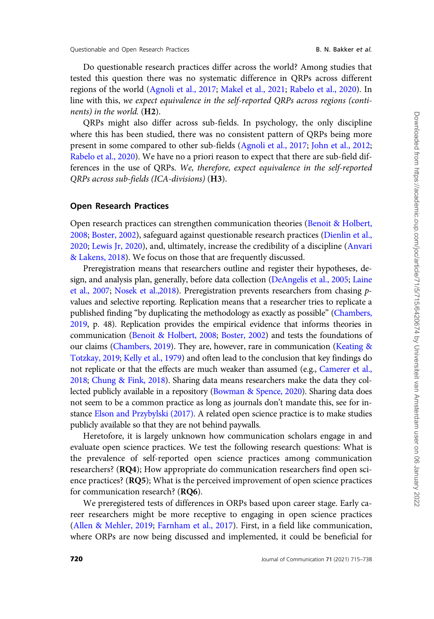Do questionable research practices differ across the world? Among studies that tested this question there was no systematic difference in QRPs across different regions of the world [\(Agnoli et al., 2017](#page-21-0); [Makel et al., 2021;](#page-23-0) [Rabelo et al., 2020\)](#page-24-0). In line with this, we expect equivalence in the self-reported QRPs across regions (continents) in the world. (H2).

QRPs might also differ across sub-fields. In psychology, the only discipline where this has been studied, there was no consistent pattern of QRPs being more present in some compared to other sub-fields [\(Agnoli et al., 2017;](#page-21-0) [John et al., 2012;](#page-23-0) [Rabelo et al., 2020](#page-24-0)). We have no a priori reason to expect that there are sub-field differences in the use of QRPs. We, therefore, expect equivalence in the self-reported QRPs across sub-fields (ICA-divisions) (H3).

#### Open Research Practices

Open research practices can strengthen communication theories ([Benoit & Holbert,](#page-22-0) [2008;](#page-22-0) [Boster, 2002](#page-22-0)), safeguard against questionable research practices ([Dienlin et al.,](#page-22-0) [2020;](#page-22-0) [Lewis Jr, 2020\)](#page-23-0), and, ultimately, increase the credibility of a discipline [\(Anvari](#page-21-0) [& Lakens, 2018\)](#page-21-0). We focus on those that are frequently discussed.

Preregistration means that researchers outline and register their hypotheses, design, and analysis plan, generally, before data collection ([DeAngelis et al., 2005](#page-22-0); [Laine](#page-23-0) [et al., 2007](#page-23-0); [Nosek et al.,2018\)](#page-24-0). Preregistration prevents researchers from chasing pvalues and selective reporting. Replication means that a researcher tries to replicate a published finding "by duplicating the methodology as exactly as possible" ([Chambers,](#page-22-0) [2019](#page-22-0), p. 48). Replication provides the empirical evidence that informs theories in communication ([Benoit & Holbert, 2008;](#page-22-0) [Boster, 2002\)](#page-22-0) and tests the foundations of our claims ([Chambers, 2019](#page-22-0)). They are, however, rare in communication ([Keating](#page-23-0) & [Totzkay, 2019](#page-23-0); [Kelly et al., 1979](#page-23-0)) and often lead to the conclusion that key findings do not replicate or that the effects are much weaker than assumed (e.g., [Camerer et al.,](#page-22-0) [2018](#page-22-0); [Chung & Fink, 2018](#page-22-0)). Sharing data means researchers make the data they collected publicly available in a repository [\(Bowman & Spence, 2020](#page-22-0)). Sharing data does not seem to be a common practice as long as journals don't mandate this, see for instance [Elson and Przybylski \(2017\)](#page-22-0). A related open science practice is to make studies publicly available so that they are not behind paywalls.

Heretofore, it is largely unknown how communication scholars engage in and evaluate open science practices. We test the following research questions: What is the prevalence of self-reported open science practices among communication researchers? (RQ4); How appropriate do communication researchers find open science practices? (RQ5); What is the perceived improvement of open science practices for communication research? (RQ6).

We preregistered tests of differences in ORPs based upon career stage. Early career researchers might be more receptive to engaging in open science practices [\(Allen](#page-21-0) & [Mehler, 2019;](#page-21-0) [Farnham et al., 2017\)](#page-22-0). First, in a field like communication, where ORPs are now being discussed and implemented, it could be beneficial for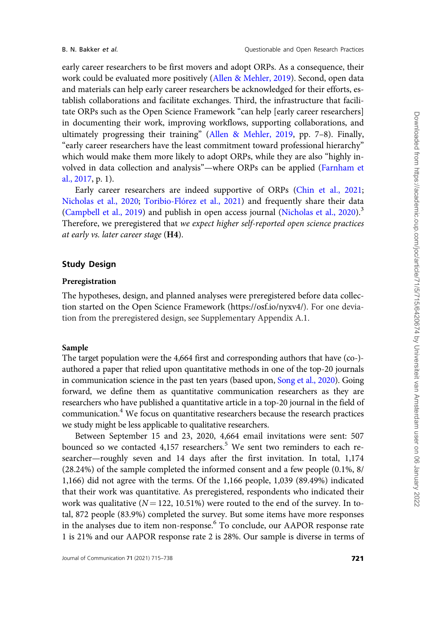early career researchers to be first movers and adopt ORPs. As a consequence, their work could be evaluated more positively ([Allen & Mehler, 2019](#page-21-0)). Second, open data and materials can help early career researchers be acknowledged for their efforts, establish collaborations and facilitate exchanges. Third, the infrastructure that facilitate ORPs such as the Open Science Framework "can help [early career researchers] in documenting their work, improving workflows, supporting collaborations, and ultimately progressing their training" [\(Allen & Mehler, 2019,](#page-21-0) pp. 7–8). Finally, "early career researchers have the least commitment toward professional hierarchy" which would make them more likely to adopt ORPs, while they are also "highly involved in data collection and analysis"—where ORPs can be applied ([Farnham et](#page-22-0) [al., 2017,](#page-22-0) p. 1).

Early career researchers are indeed supportive of ORPs ([Chin et al., 2021](#page-22-0); [Nicholas et al., 2020](#page-24-0); Toribio-Flórez et al., 2021) and frequently share their data ([Campbell et al., 2019\)](#page-22-0) and publish in open access journal ([Nicholas et al., 2020\)](#page-24-0). $3$ Therefore, we preregistered that we expect higher self-reported open science practices at early vs. later career stage (H4).

# Study Design

## Preregistration

The hypotheses, design, and planned analyses were preregistered before data collection started on the Open Science Framework [\(https://osf.io/nyxv4/\)](https://osf.io/nyxv4/). For one deviation from the preregistered design, see Supplementary Appendix A.1.

## Sample

The target population were the 4,664 first and corresponding authors that have (co-) authored a paper that relied upon quantitative methods in one of the top-20 journals in communication science in the past ten years (based upon, [Song et al., 2020\)](#page-24-0). Going forward, we define them as quantitative communication researchers as they are researchers who have published a quantitative article in a top-20 journal in the field of communication.4 We focus on quantitative researchers because the research practices we study might be less applicable to qualitative researchers.

Between September 15 and 23, 2020, 4,664 email invitations were sent: 507 bounced so we contacted 4,157 researchers.<sup>5</sup> We sent two reminders to each researcher—roughly seven and 14 days after the first invitation. In total, 1,174 (28.24%) of the sample completed the informed consent and a few people (0.1%, 8/ 1,166) did not agree with the terms. Of the 1,166 people, 1,039 (89.49%) indicated that their work was quantitative. As preregistered, respondents who indicated their work was qualitative ( $N = 122$ , 10.51%) were routed to the end of the survey. In total, 872 people (83.9%) completed the survey. But some items have more responses in the analyses due to item non-response.<sup>6</sup> To conclude, our AAPOR response rate 1 is 21% and our AAPOR response rate 2 is 28%. Our sample is diverse in terms of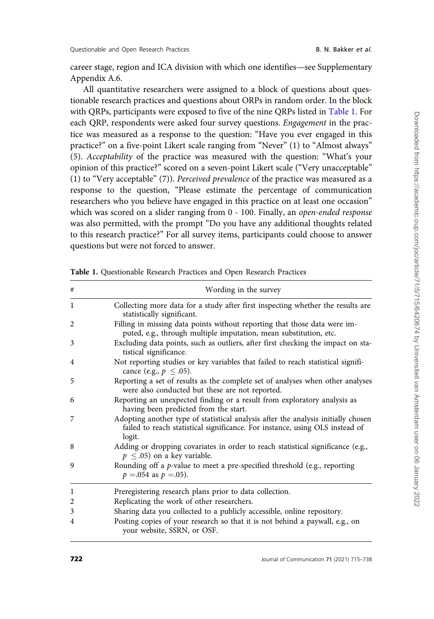<span id="page-8-0"></span>career stage, region and ICA division with which one identifies—see Supplementary Appendix A.6.

All quantitative researchers were assigned to a block of questions about questionable research practices and questions about ORPs in random order. In the block with QRPs, participants were exposed to five of the nine QRPs listed in Table 1. For each QRP, respondents were asked four survey questions. Engagement in the practice was measured as a response to the question: "Have you ever engaged in this practice?" on a five-point Likert scale ranging from "Never" (1) to "Almost always" (5). Acceptability of the practice was measured with the question: "What's your opinion of this practice?" scored on a seven-point Likert scale ("Very unacceptable" (1) to "Very acceptable" (7)). Perceived prevalence of the practice was measured as a response to the question, "Please estimate the percentage of communication researchers who you believe have engaged in this practice on at least one occasion" which was scored on a slider ranging from 0 - 100. Finally, an open-ended response was also permitted, with the prompt "Do you have any additional thoughts related to this research practice?" For all survey items, participants could choose to answer questions but were not forced to answer.

| #              | Wording in the survey                                                                                                                                                       |  |  |  |  |  |
|----------------|-----------------------------------------------------------------------------------------------------------------------------------------------------------------------------|--|--|--|--|--|
| 1              | Collecting more data for a study after first inspecting whether the results are<br>statistically significant.                                                               |  |  |  |  |  |
| 2              | Filling in missing data points without reporting that those data were im-<br>puted, e.g., through multiple imputation, mean substitution, etc.                              |  |  |  |  |  |
| 3              | Excluding data points, such as outliers, after first checking the impact on sta-<br>tistical significance.                                                                  |  |  |  |  |  |
| 4              | Not reporting studies or key variables that failed to reach statistical signifi-<br>cance (e.g., $p \leq .05$ ).                                                            |  |  |  |  |  |
| 5              | Reporting a set of results as the complete set of analyses when other analyses<br>were also conducted but these are not reported.                                           |  |  |  |  |  |
| 6              | Reporting an unexpected finding or a result from exploratory analysis as<br>having been predicted from the start.                                                           |  |  |  |  |  |
| 7              | Adopting another type of statistical analysis after the analysis initially chosen<br>failed to reach statistical significance. For instance, using OLS instead of<br>logit. |  |  |  |  |  |
| 8              | Adding or dropping covariates in order to reach statistical significance (e.g.,<br>$p \leq .05$ ) on a key variable.                                                        |  |  |  |  |  |
| 9              | Rounding off a p-value to meet a pre-specified threshold (e.g., reporting<br>$p = 0.054$ as $p = 0.05$ ).                                                                   |  |  |  |  |  |
| $\mathbf{1}$   | Preregistering research plans prior to data collection.                                                                                                                     |  |  |  |  |  |
| $\overline{2}$ | Replicating the work of other researchers.                                                                                                                                  |  |  |  |  |  |
| 3              | Sharing data you collected to a publicly accessible, online repository.                                                                                                     |  |  |  |  |  |
| 4              | Posting copies of your research so that it is not behind a paywall, e.g., on<br>your website, SSRN, or OSF.                                                                 |  |  |  |  |  |

Table 1. Questionable Research Practices and Open Research Practices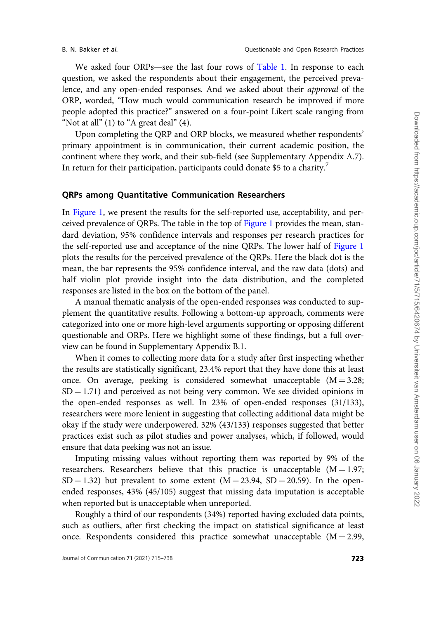We asked four ORPs—see the last four rows of [Table 1](#page-8-0). In response to each question, we asked the respondents about their engagement, the perceived prevalence, and any open-ended responses. And we asked about their approval of the ORP, worded, "How much would communication research be improved if more people adopted this practice?" answered on a four-point Likert scale ranging from "Not at all"  $(1)$  to "A great deal"  $(4)$ .

Upon completing the QRP and ORP blocks, we measured whether respondents' primary appointment is in communication, their current academic position, the continent where they work, and their sub-field (see Supplementary Appendix A.7). In return for their participation, participants could donate \$5 to a charity.<sup>7</sup>

### QRPs among Quantitative Communication Researchers

In [Figure 1,](#page-10-0) we present the results for the self-reported use, acceptability, and perceived prevalence of QRPs. The table in the top of [Figure 1](#page-10-0) provides the mean, standard deviation, 95% confidence intervals and responses per research practices for the self-reported use and acceptance of the nine QRPs. The lower half of [Figure 1](#page-10-0) plots the results for the perceived prevalence of the QRPs. Here the black dot is the mean, the bar represents the 95% confidence interval, and the raw data (dots) and half violin plot provide insight into the data distribution, and the completed responses are listed in the box on the bottom of the panel.

A manual thematic analysis of the open-ended responses was conducted to supplement the quantitative results. Following a bottom-up approach, comments were categorized into one or more high-level arguments supporting or opposing different questionable and ORPs. Here we highlight some of these findings, but a full overview can be found in Supplementary Appendix B.1.

When it comes to collecting more data for a study after first inspecting whether the results are statistically significant, 23.4% report that they have done this at least once. On average, peeking is considered somewhat unacceptable  $(M = 3.28;$  $SD = 1.71$ ) and perceived as not being very common. We see divided opinions in the open-ended responses as well. In 23% of open-ended responses (31/133), researchers were more lenient in suggesting that collecting additional data might be okay if the study were underpowered. 32% (43/133) responses suggested that better practices exist such as pilot studies and power analyses, which, if followed, would ensure that data peeking was not an issue.

Imputing missing values without reporting them was reported by 9% of the researchers. Researchers believe that this practice is unacceptable  $(M = 1.97;$  $SD = 1.32$ ) but prevalent to some extent (M = 23.94, SD = 20.59). In the openended responses, 43% (45/105) suggest that missing data imputation is acceptable when reported but is unacceptable when unreported.

Roughly a third of our respondents (34%) reported having excluded data points, such as outliers, after first checking the impact on statistical significance at least once. Respondents considered this practice somewhat unacceptable  $(M = 2.99,$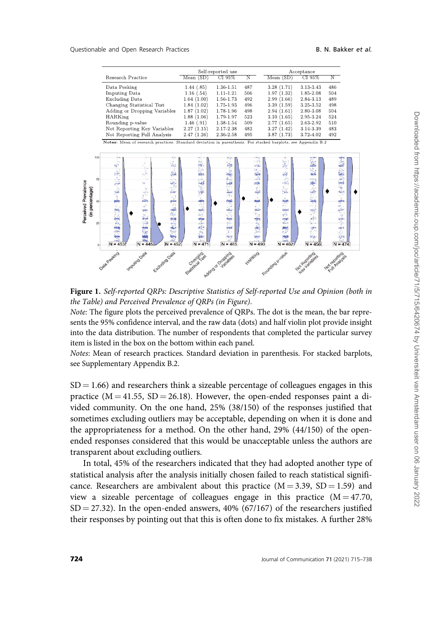<span id="page-10-0"></span>

|                              | Self-reported use |           |     | Acceptance |           |     |  |
|------------------------------|-------------------|-----------|-----|------------|-----------|-----|--|
| Research Practice            | Mean (SD)         | CI 95%    | N   | Mean(SD)   | CI 95%    | N   |  |
| Data Peeking                 | 1.44(.85)         | 1.36-1.51 | 487 | 3.28(1.71) | 3.13-3.43 | 486 |  |
| <b>Imputing Data</b>         | 1.16(0.54)        | 1.11-1.21 | 506 | 1.97(1.32) | 1.85-2.08 | 504 |  |
| Excluding Data               | 1.64(1.00)        | 1.56-1.73 | 492 | 2.99(1.66) | 2.84-3.13 | 489 |  |
| Changing Statistical Test    | 1.84(1.02)        | 1.75-1.93 | 496 | 3.39(1.59) | 3.25-3.52 | 498 |  |
| Adding or Dropping Variables | 1.87(1.02)        | 1.78-1.96 | 498 | 2.94(1.61) | 2.80-3.08 | 504 |  |
| <b>HARKing</b>               | 1.88(1.06)        | 1.79-1.97 | 523 | 3.10(1.65) | 2.95-3.24 | 524 |  |
| Rounding p-value             | 1.46(0.91)        | 1.38-1.54 | 509 | 2.77(1.65) | 2.63-2.92 | 510 |  |
| Not Reporting Key Variables  | 2.27(1.15)        | 2.17-2.38 | 482 | 3.27(1.42) | 3.14-3.39 | 483 |  |
| Not Reporting Full Analysis  | 2.47(1.26)        | 2.36-2.58 | 495 | 3.87(1.73) | 3.72-4.02 | 492 |  |

Appendix B.2



Figure 1. Self-reported QRPs: Descriptive Statistics of Self-reported Use and Opinion (both in the Table) and Perceived Prevalence of QRPs (in Figure).

Note: The figure plots the perceived prevalence of QRPs. The dot is the mean, the bar represents the 95% confidence interval, and the raw data (dots) and half violin plot provide insight into the data distribution. The number of respondents that completed the particular survey item is listed in the box on the bottom within each panel.

Notes: Mean of research practices. Standard deviation in parenthesis. For stacked barplots, see Supplementary Appendix B.2.

 $SD = 1.66$ ) and researchers think a sizeable percentage of colleagues engages in this practice  $(M = 41.55, SD = 26.18)$ . However, the open-ended responses paint a divided community. On the one hand, 25% (38/150) of the responses justified that sometimes excluding outliers may be acceptable, depending on when it is done and the appropriateness for a method. On the other hand, 29% (44/150) of the openended responses considered that this would be unacceptable unless the authors are transparent about excluding outliers.

In total, 45% of the researchers indicated that they had adopted another type of statistical analysis after the analysis initially chosen failed to reach statistical significance. Researchers are ambivalent about this practice  $(M = 3.39, SD = 1.59)$  and view a sizeable percentage of colleagues engage in this practice  $(M = 47.70,$  $SD = 27.32$ ). In the open-ended answers,  $40\%$  (67/167) of the researchers justified their responses by pointing out that this is often done to fix mistakes. A further 28%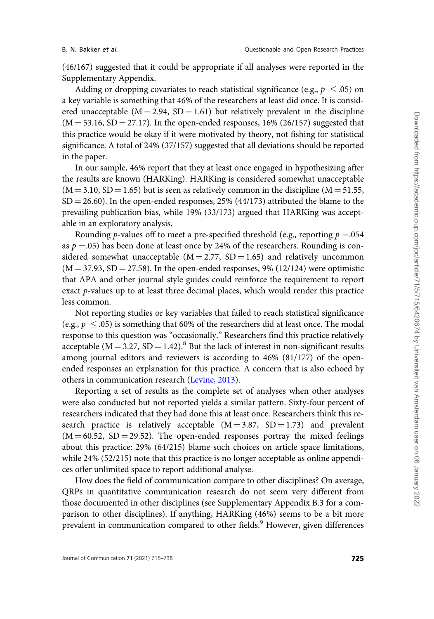(46/167) suggested that it could be appropriate if all analyses were reported in the Supplementary Appendix.

Adding or dropping covariates to reach statistical significance (e.g.,  $p~\leq .05$ ) on a key variable is something that 46% of the researchers at least did once. It is considered unacceptable ( $M = 2.94$ ,  $SD = 1.61$ ) but relatively prevalent in the discipline  $(M = 53.16, SD = 27.17)$ . In the open-ended responses, 16% (26/157) suggested that this practice would be okay if it were motivated by theory, not fishing for statistical significance. A total of 24% (37/157) suggested that all deviations should be reported in the paper.

In our sample, 46% report that they at least once engaged in hypothesizing after the results are known (HARKing). HARKing is considered somewhat unacceptable  $(M = 3.10, SD = 1.65)$  but is seen as relatively common in the discipline  $(M = 51.55,$  $SD = 26.60$ . In the open-ended responses, 25% (44/173) attributed the blame to the prevailing publication bias, while 19% (33/173) argued that HARKing was acceptable in an exploratory analysis.

Rounding p-values off to meet a pre-specified threshold (e.g., reporting  $p = 0.054$ ) as  $p = 0.05$ ) has been done at least once by 24% of the researchers. Rounding is considered somewhat unacceptable  $(M = 2.77, SD = 1.65)$  and relatively uncommon  $(M = 37.93, SD = 27.58)$ . In the open-ended responses, 9% (12/124) were optimistic that APA and other journal style guides could reinforce the requirement to report exact p-values up to at least three decimal places, which would render this practice less common.

Not reporting studies or key variables that failed to reach statistical significance (e.g.,  $p \leq .05$ ) is something that 60% of the researchers did at least once. The modal response to this question was "occasionally." Researchers find this practice relatively acceptable ( $M = 3.27$ ,  $SD = 1.42$ ).<sup>8</sup> But the lack of interest in non-significant results among journal editors and reviewers is according to 46% (81/177) of the openended responses an explanation for this practice. A concern that is also echoed by others in communication research [\(Levine, 2013\)](#page-23-0).

Reporting a set of results as the complete set of analyses when other analyses were also conducted but not reported yields a similar pattern. Sixty-four percent of researchers indicated that they had done this at least once. Researchers think this research practice is relatively acceptable  $(M = 3.87, SD = 1.73)$  and prevalent  $(M = 60.52, SD = 29.52)$ . The open-ended responses portray the mixed feelings about this practice: 29% (64/215) blame such choices on article space limitations, while 24% (52/215) note that this practice is no longer acceptable as online appendices offer unlimited space to report additional analyse.

How does the field of communication compare to other disciplines? On average, QRPs in quantitative communication research do not seem very different from those documented in other disciplines (see Supplementary Appendix B.3 for a comparison to other disciplines). If anything, HARKing (46%) seems to be a bit more prevalent in communication compared to other fields.<sup>9</sup> However, given differences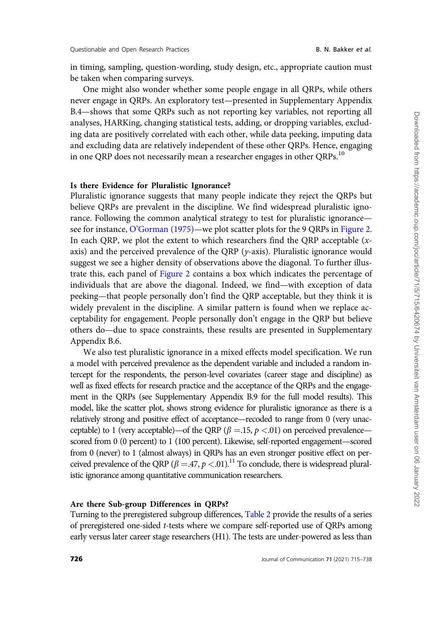in timing, sampling, question-wording, study design, etc., appropriate caution must be taken when comparing surveys.

One might also wonder whether some people engage in all QRPs, while others never engage in QRPs. An exploratory test—presented in Supplementary Appendix B.4—shows that some QRPs such as not reporting key variables, not reporting all analyses, HARKing, changing statistical tests, adding, or dropping variables, excluding data are positively correlated with each other, while data peeking, imputing data and excluding data are relatively independent of these other QRPs. Hence, engaging in one QRP does not necessarily mean a researcher engages in other QRPs.<sup>10</sup>

#### Is there Evidence for Pluralistic Ignorance?

Pluralistic ignorance suggests that many people indicate they reject the QRPs but believe QRPs are prevalent in the discipline. We find widespread pluralistic ignorance. Following the common analytical strategy to test for pluralistic ignorance see for instance, [O'Gorman \(1975\)—](#page-24-0)we plot scatter plots for the 9 QRPs in [Figure 2.](#page-13-0) In each QRP, we plot the extent to which researchers find the QRP acceptable  $(x$ axis) and the perceived prevalence of the QRP (y-axis). Pluralistic ignorance would suggest we see a higher density of observations above the diagonal. To further illustrate this, each panel of [Figure 2](#page-13-0) contains a box which indicates the percentage of individuals that are above the diagonal. Indeed, we find—with exception of data peeking—that people personally don't find the QRP acceptable, but they think it is widely prevalent in the discipline. A similar pattern is found when we replace acceptability for engagement. People personally don't engage in the QRP but believe others do—due to space constraints, these results are presented in Supplementary Appendix B.6.

We also test pluralistic ignorance in a mixed effects model specification. We run a model with perceived prevalence as the dependent variable and included a random intercept for the respondents, the person-level covariates (career stage and discipline) as well as fixed effects for research practice and the acceptance of the QRPs and the engagement in the QRPs (see Supplementary Appendix B.9 for the full model results). This model, like the scatter plot, shows strong evidence for pluralistic ignorance as there is a relatively strong and positive effect of acceptance—recoded to range from 0 (very unacceptable) to 1 (very acceptable)—of the QRP ( $\beta = 15$ ,  $p < 01$ ) on perceived prevalence scored from 0 (0 percent) to 1 (100 percent). Likewise, self-reported engagement—scored from 0 (never) to 1 (almost always) in QRPs has an even stronger positive effect on perceived prevalence of the QRP ( $\beta = .47$ ,  $p < .01$ ).<sup>11</sup> To conclude, there is widespread pluralistic ignorance among quantitative communication researchers.

#### Are there Sub-group Differences in QRPs?

Turning to the preregistered subgroup differences, [Table 2](#page-13-0) provide the results of a series of preregistered one-sided t-tests where we compare self-reported use of QRPs among early versus later career stage researchers (H1). The tests are under-powered as less than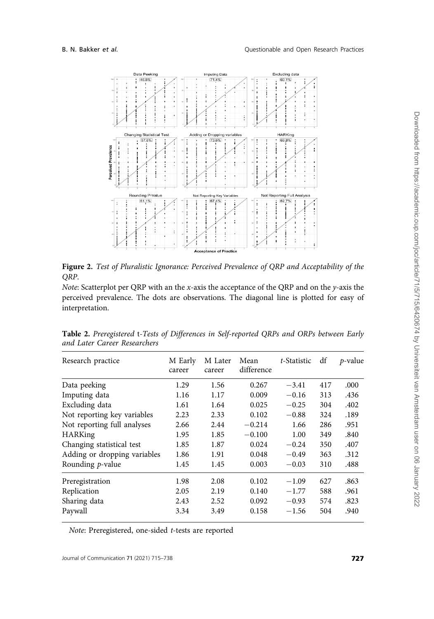<span id="page-13-0"></span>

Figure 2. Test of Pluralistic Ignorance: Perceived Prevalence of QRP and Acceptability of the QRP.

Note: Scatterplot per QRP with an the x-axis the acceptance of the QRP and on the y-axis the perceived prevalence. The dots are observations. The diagonal line is plotted for easy of interpretation.

| Research practice            | M Early<br>career | M Later<br>career | Mean<br>difference | t-Statistic | df  | $p$ -value |
|------------------------------|-------------------|-------------------|--------------------|-------------|-----|------------|
| Data peeking                 | 1.29              | 1.56              | 0.267              | $-3.41$     | 417 | .000       |
| Imputing data                | 1.16              | 1.17              | 0.009              | $-0.16$     | 313 | .436       |
| Excluding data               | 1.61              | 1.64              | 0.025              | $-0.25$     | 304 | .402       |
| Not reporting key variables  | 2.23              | 2.33              | 0.102              | $-0.88$     | 324 | .189       |
| Not reporting full analyses  | 2.66              | 2.44              | $-0.214$           | 1.66        | 286 | .951       |
| <b>HARKing</b>               | 1.95              | 1.85              | $-0.100$           | 1.00        | 349 | .840       |
| Changing statistical test    | 1.85              | 1.87              | 0.024              | $-0.24$     | 350 | .407       |
| Adding or dropping variables | 1.86              | 1.91              | 0.048              | $-0.49$     | 363 | .312       |
| Rounding $p$ -value          | 1.45              | 1.45              | 0.003              | $-0.03$     | 310 | .488       |
| Preregistration              | 1.98              | 2.08              | 0.102              | $-1.09$     | 627 | .863       |
| Replication                  | 2.05              | 2.19              | 0.140              | $-1.77$     | 588 | .961       |
| Sharing data                 | 2.43              | 2.52              | 0.092              | $-0.93$     | 574 | .823       |
| Paywall                      | 3.34              | 3.49              | 0.158              | $-1.56$     | 504 | .940       |

Table 2. Preregistered t-Tests of Differences in Self-reported QRPs and ORPs between Early and Later Career Researchers

Note: Preregistered, one-sided t-tests are reported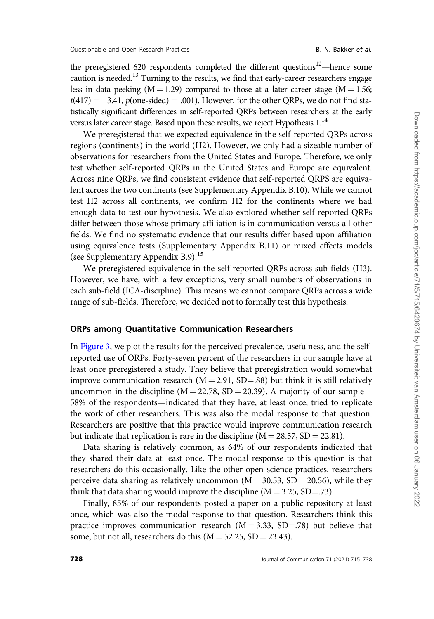the preregistered 620 respondents completed the different questions $12$ —hence some caution is needed.<sup>13</sup> Turning to the results, we find that early-career researchers engage less in data peeking  $(M = 1.29)$  compared to those at a later career stage  $(M = 1.56;$  $t(417) = -3.41$ ,  $p(\text{one-sided}) = .001$ ). However, for the other QRPs, we do not find statistically significant differences in self-reported QRPs between researchers at the early versus later career stage. Based upon these results, we reject Hypothesis 1.<sup>14</sup>

We preregistered that we expected equivalence in the self-reported QRPs across regions (continents) in the world (H2). However, we only had a sizeable number of observations for researchers from the United States and Europe. Therefore, we only test whether self-reported QRPs in the United States and Europe are equivalent. Across nine QRPs, we find consistent evidence that self-reported QRPS are equivalent across the two continents (see Supplementary Appendix B.10). While we cannot test H2 across all continents, we confirm H2 for the continents where we had enough data to test our hypothesis. We also explored whether self-reported QRPs differ between those whose primary affiliation is in communication versus all other fields. We find no systematic evidence that our results differ based upon affiliation using equivalence tests (Supplementary Appendix B.11) or mixed effects models (see Supplementary Appendix B.9).<sup>15</sup>

We preregistered equivalence in the self-reported QRPs across sub-fields (H3). However, we have, with a few exceptions, very small numbers of observations in each sub-field (ICA-discipline). This means we cannot compare QRPs across a wide range of sub-fields. Therefore, we decided not to formally test this hypothesis.

## ORPs among Quantitative Communication Researchers

In [Figure 3,](#page-15-0) we plot the results for the perceived prevalence, usefulness, and the selfreported use of ORPs. Forty-seven percent of the researchers in our sample have at least once preregistered a study. They believe that preregistration would somewhat improve communication research  $(M = 2.91, SD = .88)$  but think it is still relatively uncommon in the discipline ( $M = 22.78$ ,  $SD = 20.39$ ). A majority of our sample— 58% of the respondents—indicated that they have, at least once, tried to replicate the work of other researchers. This was also the modal response to that question. Researchers are positive that this practice would improve communication research but indicate that replication is rare in the discipline ( $M = 28.57$ ,  $SD = 22.81$ ).

Data sharing is relatively common, as 64% of our respondents indicated that they shared their data at least once. The modal response to this question is that researchers do this occasionally. Like the other open science practices, researchers perceive data sharing as relatively uncommon ( $M = 30.53$ , SD = 20.56), while they think that data sharing would improve the discipline  $(M = 3.25, SD = .73)$ .

Finally, 85% of our respondents posted a paper on a public repository at least once, which was also the modal response to that question. Researchers think this practice improves communication research  $(M = 3.33, SD = .78)$  but believe that some, but not all, researchers do this  $(M = 52.25, SD = 23.43)$ .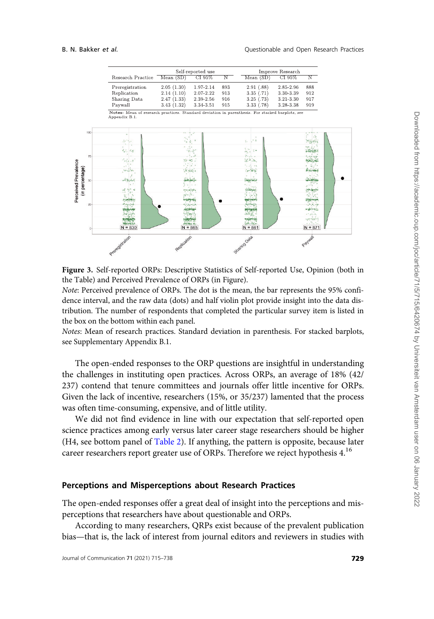<span id="page-15-0"></span>

Figure 3. Self-reported ORPs: Descriptive Statistics of Self-reported Use, Opinion (both in the Table) and Perceived Prevalence of ORPs (in Figure).

Note: Perceived prevalence of ORPs. The dot is the mean, the bar represents the 95% confidence interval, and the raw data (dots) and half violin plot provide insight into the data distribution. The number of respondents that completed the particular survey item is listed in the box on the bottom within each panel.

Notes: Mean of research practices. Standard deviation in parenthesis. For stacked barplots, see Supplementary Appendix B.1.

The open-ended responses to the ORP questions are insightful in understanding the challenges in instituting open practices. Across ORPs, an average of 18% (42/ 237) contend that tenure committees and journals offer little incentive for ORPs. Given the lack of incentive, researchers (15%, or 35/237) lamented that the process was often time-consuming, expensive, and of little utility.

We did not find evidence in line with our expectation that self-reported open science practices among early versus later career stage researchers should be higher (H4, see bottom panel of [Table 2\)](#page-13-0). If anything, the pattern is opposite, because later career researchers report greater use of ORPs. Therefore we reject hypothesis  $4.16$ 

#### Perceptions and Misperceptions about Research Practices

The open-ended responses offer a great deal of insight into the perceptions and misperceptions that researchers have about questionable and ORPs.

According to many researchers, QRPs exist because of the prevalent publication bias—that is, the lack of interest from journal editors and reviewers in studies with Downloaded from https://academic.oup.com/joc/article/71/5/715/6420674 by Universiteit van Amsterdam user on 06 January 2022

Downloaded from https://academic.oup.com/joc/article/71/5/715/6420674 by Universiteit van Amsterdam user on 06 January 2022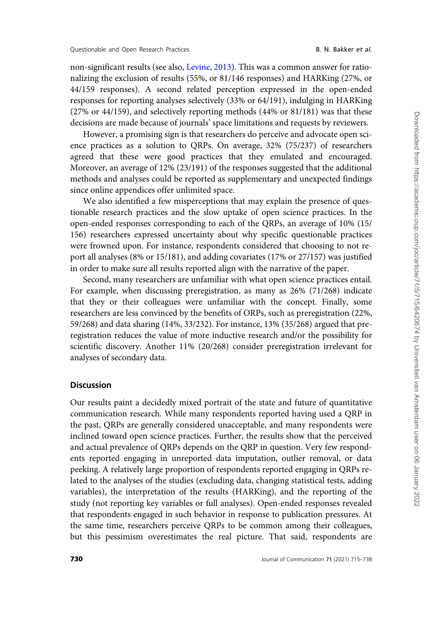non-significant results (see also, [Levine, 2013](#page-23-0)). This was a common answer for rationalizing the exclusion of results (55%, or 81/146 responses) and HARKing (27%, or 44/159 responses). A second related perception expressed in the open-ended responses for reporting analyses selectively (33% or 64/191), indulging in HARKing (27% or 44/159), and selectively reporting methods (44% or 81/181) was that these decisions are made because of journals' space limitations and requests by reviewers.

However, a promising sign is that researchers do perceive and advocate open science practices as a solution to QRPs. On average, 32% (75/237) of researchers agreed that these were good practices that they emulated and encouraged. Moreover, an average of 12% (23/191) of the responses suggested that the additional methods and analyses could be reported as supplementary and unexpected findings since online appendices offer unlimited space.

We also identified a few misperceptions that may explain the presence of questionable research practices and the slow uptake of open science practices. In the open-ended responses corresponding to each of the QRPs, an average of 10% (15/ 156) researchers expressed uncertainty about why specific questionable practices were frowned upon. For instance, respondents considered that choosing to not report all analyses (8% or 15/181), and adding covariates (17% or 27/157) was justified in order to make sure all results reported align with the narrative of the paper.

Second, many researchers are unfamiliar with what open science practices entail. For example, when discussing preregistration, as many as 26% (71/268) indicate that they or their colleagues were unfamiliar with the concept. Finally, some researchers are less convinced by the benefits of ORPs, such as preregistration (22%, 59/268) and data sharing (14%, 33/232). For instance, 13% (35/268) argued that preregistration reduces the value of more inductive research and/or the possibility for scientific discovery. Another 11% (20/268) consider preregistration irrelevant for analyses of secondary data.

#### **Discussion**

Our results paint a decidedly mixed portrait of the state and future of quantitative communication research. While many respondents reported having used a QRP in the past, QRPs are generally considered unacceptable, and many respondents were inclined toward open science practices. Further, the results show that the perceived and actual prevalence of QRPs depends on the QRP in question. Very few respondents reported engaging in unreported data imputation, outlier removal, or data peeking. A relatively large proportion of respondents reported engaging in QRPs related to the analyses of the studies (excluding data, changing statistical tests, adding variables), the interpretation of the results (HARKing), and the reporting of the study (not reporting key variables or full analyses). Open-ended responses revealed that respondents engaged in such behavior in response to publication pressures. At the same time, researchers perceive QRPs to be common among their colleagues, but this pessimism overestimates the real picture. That said, respondents are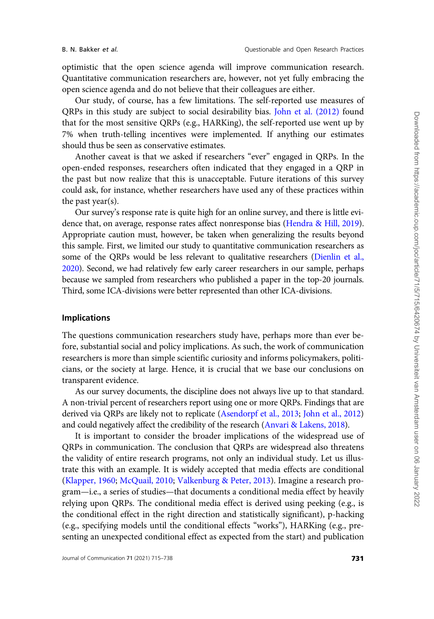optimistic that the open science agenda will improve communication research. Quantitative communication researchers are, however, not yet fully embracing the open science agenda and do not believe that their colleagues are either.

Our study, of course, has a few limitations. The self-reported use measures of QRPs in this study are subject to social desirability bias. [John et al. \(2012\)](#page-23-0) found that for the most sensitive QRPs (e.g., HARKing), the self-reported use went up by 7% when truth-telling incentives were implemented. If anything our estimates should thus be seen as conservative estimates.

Another caveat is that we asked if researchers "ever" engaged in QRPs. In the open-ended responses, researchers often indicated that they engaged in a QRP in the past but now realize that this is unacceptable. Future iterations of this survey could ask, for instance, whether researchers have used any of these practices within the past year(s).

Our survey's response rate is quite high for an online survey, and there is little evidence that, on average, response rates affect nonresponse bias ([Hendra & Hill, 2019\)](#page-23-0). Appropriate caution must, however, be taken when generalizing the results beyond this sample. First, we limited our study to quantitative communication researchers as some of the QRPs would be less relevant to qualitative researchers [\(Dienlin et al.,](#page-22-0) [2020\)](#page-22-0). Second, we had relatively few early career researchers in our sample, perhaps because we sampled from researchers who published a paper in the top-20 journals. Third, some ICA-divisions were better represented than other ICA-divisions.

#### Implications

The questions communication researchers study have, perhaps more than ever before, substantial social and policy implications. As such, the work of communication researchers is more than simple scientific curiosity and informs policymakers, politicians, or the society at large. Hence, it is crucial that we base our conclusions on transparent evidence.

As our survey documents, the discipline does not always live up to that standard. A non-trivial percent of researchers report using one or more QRPs. Findings that are derived via QRPs are likely not to replicate ([Asendorpf et al., 2013](#page-21-0); [John et al., 2012\)](#page-23-0) and could negatively affect the credibility of the research ([Anvari](#page-21-0) & [Lakens, 2018](#page-21-0)).

It is important to consider the broader implications of the widespread use of QRPs in communication. The conclusion that QRPs are widespread also threatens the validity of entire research programs, not only an individual study. Let us illustrate this with an example. It is widely accepted that media effects are conditional ([Klapper, 1960](#page-23-0); [McQuail, 2010](#page-23-0); [Valkenburg & Peter, 2013\)](#page-24-0). Imagine a research program—i.e., a series of studies—that documents a conditional media effect by heavily relying upon QRPs. The conditional media effect is derived using peeking (e.g., is the conditional effect in the right direction and statistically significant), p-hacking (e.g., specifying models until the conditional effects "works"), HARKing (e.g., presenting an unexpected conditional effect as expected from the start) and publication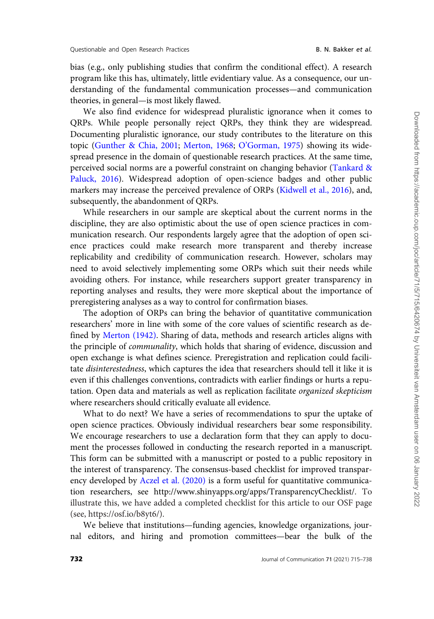bias (e.g., only publishing studies that confirm the conditional effect). A research program like this has, ultimately, little evidentiary value. As a consequence, our understanding of the fundamental communication processes—and communication theories, in general—is most likely flawed.

We also find evidence for widespread pluralistic ignorance when it comes to QRPs. While people personally reject QRPs, they think they are widespread. Documenting pluralistic ignorance, our study contributes to the literature on this topic [\(Gunther & Chia, 2001](#page-23-0); [Merton, 1968](#page-23-0); [O'Gorman, 1975](#page-24-0)) showing its widespread presence in the domain of questionable research practices. At the same time, perceived social norms are a powerful constraint on changing behavior ([Tankard](#page-24-0) & [Paluck, 2016\)](#page-24-0). Widespread adoption of open-science badges and other public markers may increase the perceived prevalence of ORPs [\(Kidwell et al., 2016\)](#page-23-0), and, subsequently, the abandonment of QRPs.

While researchers in our sample are skeptical about the current norms in the discipline, they are also optimistic about the use of open science practices in communication research. Our respondents largely agree that the adoption of open science practices could make research more transparent and thereby increase replicability and credibility of communication research. However, scholars may need to avoid selectively implementing some ORPs which suit their needs while avoiding others. For instance, while researchers support greater transparency in reporting analyses and results, they were more skeptical about the importance of preregistering analyses as a way to control for confirmation biases.

The adoption of ORPs can bring the behavior of quantitative communication researchers' more in line with some of the core values of scientific research as defined by [Merton \(1942\).](#page-23-0) Sharing of data, methods and research articles aligns with the principle of communality, which holds that sharing of evidence, discussion and open exchange is what defines science. Preregistration and replication could facilitate disinterestedness, which captures the idea that researchers should tell it like it is even if this challenges conventions, contradicts with earlier findings or hurts a reputation. Open data and materials as well as replication facilitate organized skepticism where researchers should critically evaluate all evidence.

What to do next? We have a series of recommendations to spur the uptake of open science practices. Obviously individual researchers bear some responsibility. We encourage researchers to use a declaration form that they can apply to document the processes followed in conducting the research reported in a manuscript. This form can be submitted with a manuscript or posted to a public repository in the interest of transparency. The consensus-based checklist for improved transparency developed by [Aczel et al. \(2020\)](#page-21-0) is a form useful for quantitative communication researchers, see [http://www.shinyapps.org/apps/TransparencyChecklist/.](http://www.shinyapps.org/apps/TransparencyChecklist/) To illustrate this, we have added a completed checklist for this article to our OSF page (see,<https://osf.io/b8yt6/>).

We believe that institutions—funding agencies, knowledge organizations, journal editors, and hiring and promotion committees—bear the bulk of the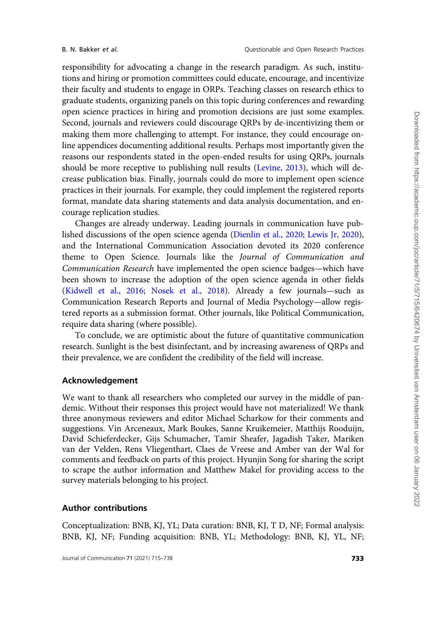responsibility for advocating a change in the research paradigm. As such, institutions and hiring or promotion committees could educate, encourage, and incentivize their faculty and students to engage in ORPs. Teaching classes on research ethics to graduate students, organizing panels on this topic during conferences and rewarding open science practices in hiring and promotion decisions are just some examples. Second, journals and reviewers could discourage QRPs by de-incentivizing them or making them more challenging to attempt. For instance, they could encourage online appendices documenting additional results. Perhaps most importantly given the reasons our respondents stated in the open-ended results for using QRPs, journals should be more receptive to publishing null results ([Levine, 2013](#page-23-0)), which will decrease publication bias. Finally, journals could do more to implement open science practices in their journals. For example, they could implement the registered reports format, mandate data sharing statements and data analysis documentation, and encourage replication studies.

Changes are already underway. Leading journals in communication have published discussions of the open science agenda ([Dienlin et al., 2020](#page-22-0); [Lewis Jr, 2020](#page-23-0)), and the International Communication Association devoted its 2020 conference theme to Open Science. Journals like the Journal of Communication and Communication Research have implemented the open science badges—which have been shown to increase the adoption of the open science agenda in other fields ([Kidwell et al., 2016;](#page-23-0) [Nosek et al., 2018](#page-24-0)). Already a few journals—such as Communication Research Reports and Journal of Media Psychology—allow registered reports as a submission format. Other journals, like Political Communication, require data sharing (where possible).

To conclude, we are optimistic about the future of quantitative communication research. Sunlight is the best disinfectant, and by increasing awareness of QRPs and their prevalence, we are confident the credibility of the field will increase.

# Acknowledgement

We want to thank all researchers who completed our survey in the middle of pandemic. Without their responses this project would have not materialized! We thank three anonymous reviewers and editor Michael Scharkow for their comments and suggestions. Vin Arceneaux, Mark Boukes, Sanne Kruikemeier, Matthijs Rooduijn, David Schieferdecker, Gijs Schumacher, Tamir Sheafer, Jagadish Taker, Mariken van der Velden, Rens Vliegenthart, Claes de Vreese and Amber van der Wal for comments and feedback on parts of this project. Hyunjin Song for sharing the script to scrape the author information and Matthew Makel for providing access to the survey materials belonging to his project.

## Author contributions

Conceptualization: BNB, KJ, YL; Data curation: BNB, KJ, T D, NF; Formal analysis: BNB, KJ, NF; Funding acquisition: BNB, YL; Methodology: BNB, KJ, YL, NF;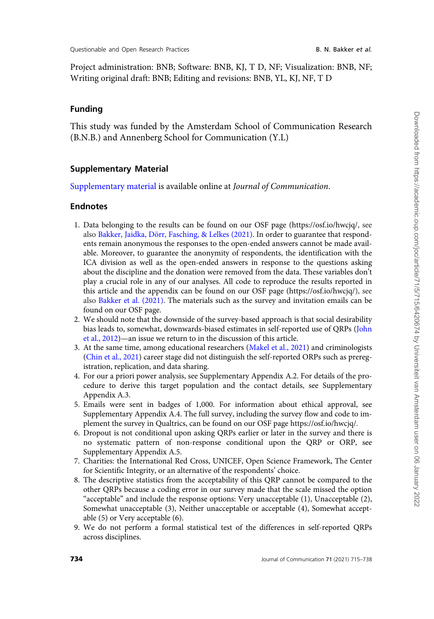Project administration: BNB; Software: BNB, KJ, T D, NF; Visualization: BNB, NF; Writing original draft: BNB; Editing and revisions: BNB, YL, KJ, NF, T D

## Funding

This study was funded by the Amsterdam School of Communication Research (B.N.B.) and Annenberg School for Communication (Y.L)

#### Supplementary Material

[Supplementary material](
article-lookup/doi/10.1093/joc/jqab031#supplementary-data) is available online at Journal of Communication.

## **Endnotes**

- 1. Data belonging to the results can be found on our OSF page (<https://osf.io/hwcjq/>, see also Bakker, Jaidka, Dörr, Fasching, & [Lelkes \(2021\).](#page-21-0) In order to guarantee that respondents remain anonymous the responses to the open-ended answers cannot be made available. Moreover, to guarantee the anonymity of respondents, the identification with the ICA division as well as the open-ended answers in response to the questions asking about the discipline and the donation were removed from the data. These variables don't play a crucial role in any of our analyses. All code to reproduce the results reported in this article and the appendix can be found on our OSF page [\(https://osf.io/hwcjq/](https://osf.io/hwcjq/)), see also [Bakker et al. \(2021\)](#page-21-0). The materials such as the survey and invitation emails can be found on our OSF page.
- 2. We should note that the downside of the survey-based approach is that social desirability bias leads to, somewhat, downwards-biased estimates in self-reported use of QRPs ([John](#page-23-0) [et al., 2012](#page-23-0))—an issue we return to in the discussion of this article.
- 3. At the same time, among educational researchers ([Makel et al., 2021\)](#page-23-0) and criminologists [\(Chin et al., 2021\)](#page-22-0) career stage did not distinguish the self-reported ORPs such as preregistration, replication, and data sharing.
- 4. For our a priori power analysis, see Supplementary Appendix A.2. For details of the procedure to derive this target population and the contact details, see Supplementary Appendix A.3.
- 5. Emails were sent in badges of 1,000. For information about ethical approval, see Supplementary Appendix A.4. The full survey, including the survey flow and code to implement the survey in Qualtrics, can be found on our OSF page<https://osf.io/hwcjq/>.
- 6. Dropout is not conditional upon asking QRPs earlier or later in the survey and there is no systematic pattern of non-response conditional upon the QRP or ORP, see Supplementary Appendix A.5.
- 7. Charities: the International Red Cross, UNICEF, Open Science Framework, The Center for Scientific Integrity, or an alternative of the respondents' choice.
- 8. The descriptive statistics from the acceptability of this QRP cannot be compared to the other QRPs because a coding error in our survey made that the scale missed the option "acceptable" and include the response options: Very unacceptable (1), Unacceptable (2), Somewhat unacceptable (3), Neither unacceptable or acceptable (4), Somewhat acceptable (5) or Very acceptable (6).
- 9. We do not perform a formal statistical test of the differences in self-reported QRPs across disciplines.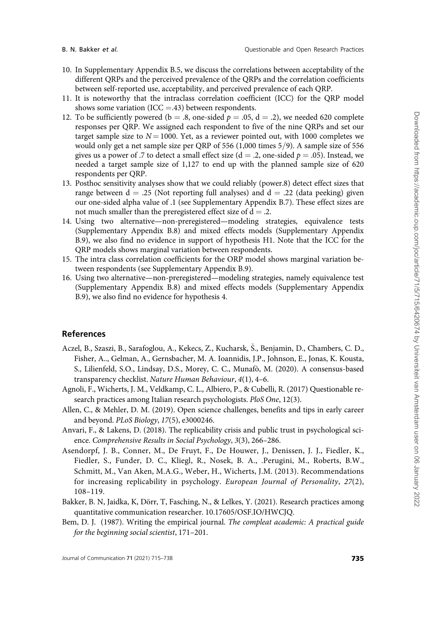<span id="page-21-0"></span>

- 10. In Supplementary Appendix B.5, we discuss the correlations between acceptability of the different QRPs and the perceived prevalence of the QRPs and the correlation coefficients between self-reported use, acceptability, and perceived prevalence of each QRP.
- 11. It is noteworthy that the intraclass correlation coefficient (ICC) for the QRP model shows some variation (ICC  $=$ .43) between respondents.
- 12. To be sufficiently powered (b = .8, one-sided  $p = .05$ , d = .2), we needed 620 complete responses per QRP. We assigned each respondent to five of the nine QRPs and set our target sample size to  $N = 1000$ . Yet, as a reviewer pointed out, with 1000 completes we would only get a net sample size per QRP of 556  $(1,000$  times  $5/9$ ). A sample size of 556 gives us a power of .7 to detect a small effect size ( $d = .2$ , one-sided  $p = .05$ ). Instead, we needed a target sample size of 1,127 to end up with the planned sample size of 620 respondents per QRP.
- 13. Posthoc sensitivity analyses show that we could reliably (power.8) detect effect sizes that range between  $d = .25$  (Not reporting full analyses) and  $d = .22$  (data peeking) given our one-sided alpha value of .1 (see Supplementary Appendix B.7). These effect sizes are not much smaller than the preregistered effect size of  $d = .2$ .
- 14. Using two alternative—non-preregistered—modeling strategies, equivalence tests (Supplementary Appendix B.8) and mixed effects models (Supplementary Appendix B.9), we also find no evidence in support of hypothesis H1. Note that the ICC for the QRP models shows marginal variation between respondents.
- 15. The intra class correlation coefficients for the ORP model shows marginal variation between respondents (see Supplementary Appendix B.9).
- 16. Using two alternative—non-preregistered—modeling strategies, namely equivalence test (Supplementary Appendix B.8) and mixed effects models (Supplementary Appendix B.9), we also find no evidence for hypothesis 4.

#### References

- Aczel, B., Szaszi, B., Sarafoglou, A., Kekecs, Z., Kucharsk, Š., Benjamin, D., Chambers, C. D., Fisher, A.., Gelman, A., Gernsbacher, M. A. Ioannidis, J.P., Johnson, E., Jonas, K. Kousta, S., Lilienfeld, S.O., Lindsay, D.S., Morey, C. C., Munafò, M. (2020). A consensus-based transparency checklist. Nature Human Behaviour, 4(1), 4–6.
- Agnoli, F., Wicherts, J. M., Veldkamp, C. L., Albiero, P., & Cubelli, R. (2017) Questionable research practices among Italian research psychologists. PloS One, 12(3).
- Allen, C., & Mehler, D. M. (2019). Open science challenges, benefits and tips in early career and beyond. PLoS Biology, 17(5), e3000246.
- Anvari, F., & Lakens, D. (2018). The replicability crisis and public trust in psychological science. Comprehensive Results in Social Psychology, 3(3), 266–286.
- Asendorpf, J. B., Conner, M., De Fruyt, F., De Houwer, J., Denissen, J. J., Fiedler, K., Fiedler, S., Funder, D. C., Kliegl, R., Nosek, B. A., .Perugini, M., Roberts, B.W., Schmitt, M., Van Aken, M.A.G., Weber, H., Wicherts, J.M. (2013). Recommendations for increasing replicability in psychology. European Journal of Personality, 27(2), 108–119.
- Bakker, B. N, Jaidka, K, Dörr, T, Fasching, N., & Lelkes, Y. (2021). Research practices among quantitative communication researcher. 10.17605/OSF.IO/HWCJQ.
- Bem, D. J. (1987). Writing the empirical journal. The compleat academic: A practical guide for the beginning social scientist, 171–201.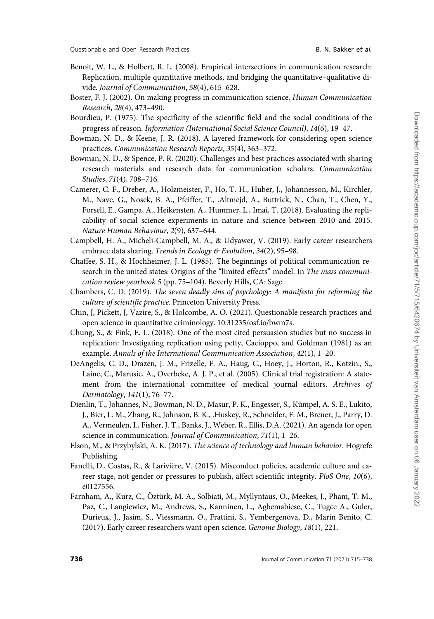- <span id="page-22-0"></span>Benoit, W. L., & Holbert, R. L. (2008). Empirical intersections in communication research: Replication, multiple quantitative methods, and bridging the quantitative–qualitative divide. Journal of Communication, 58(4), 615–628.
- Boster, F. J. (2002). On making progress in communication science. Human Communication Research, 28(4), 473–490.
- Bourdieu, P. (1975). The specificity of the scientific field and the social conditions of the progress of reason. Information (International Social Science Council), 14(6), 19–47.
- Bowman, N. D., & Keene, J. R. (2018). A layered framework for considering open science practices. Communication Research Reports, 35(4), 363–372.
- Bowman, N. D., & Spence, P. R. (2020). Challenges and best practices associated with sharing research materials and research data for communication scholars. Communication Studies, 71(4), 708–716.
- Camerer, C. F., Dreber, A., Holzmeister, F., Ho, T.-H., Huber, J., Johannesson, M., Kirchler, M., Nave, G., Nosek, B. A., Pfeiffer, T., .Altmejd, A., Buttrick, N., Chan, T., Chen, Y., Forsell, E., Gampa, A., Heikensten, A., Hummer, L., Imai, T. (2018). Evaluating the replicability of social science experiments in nature and science between 2010 and 2015. Nature Human Behaviour, 2(9), 637–644.
- Campbell, H. A., Micheli-Campbell, M. A., & Udyawer, V. (2019). Early career researchers embrace data sharing. Trends in Ecology & Evolution, 34(2), 95-98.
- Chaffee, S. H., & Hochheimer, J. L. (1985). The beginnings of political communication research in the united states: Origins of the "limited effects" model. In The mass communication review yearbook 5 (pp. 75–104). Beverly Hills, CA: Sage.
- Chambers, C. D. (2019). The seven deadly sins of psychology: A manifesto for reforming the culture of scientific practice. Princeton University Press.
- Chin, J, Pickett, J, Vazire, S., & Holcombe, A. O. (2021). Questionable research practices and open science in quantitative criminology. 10.31235/osf.io/bwm7s.
- Chung, S., & Fink, E. L. (2018). One of the most cited persuasion studies but no success in replication: Investigating replication using petty, Cacioppo, and Goldman (1981) as an example. Annals of the International Communication Association, 42(1), 1–20.
- DeAngelis, C. D., Drazen, J. M., Frizelle, F. A., Haug, C., Hoey, J., Horton, R., Kotzin., S., Laine, C., Marusic, A., Overbeke, A. J. P., et al. (2005). Clinical trial registration: A statement from the international committee of medical journal editors. Archives of Dermatology, 141(1), 76–77.
- Dienlin, T., Johannes, N., Bowman, N. D., Masur, P. K., Engesser, S., Kümpel, A. S. E., Lukito, J., Bier, L. M., Zhang, R., Johnson, B. K., .Huskey, R., Schneider, F. M., Breuer, J., Parry, D. A., Vermeulen, I., Fisher, J. T., Banks, J., Weber, R., Ellis, D.A. (2021). An agenda for open science in communication. *Journal of Communication*, 71(1), 1–26.
- Elson, M., & Przybylski, A. K. (2017). The science of technology and human behavior. Hogrefe Publishing.
- Fanelli, D., Costas, R., & Larivière, V. (2015). Misconduct policies, academic culture and career stage, not gender or pressures to publish, affect scientific integrity. PloS One, 10(6), e0127556.
- Farnham, A., Kurz, C., Öztürk, M. A., Solbiati, M., Myllyntaus, O., Meekes, J., Pham, T. M., Paz, C., Langiewicz, M., Andrews, S., Kanninen, L., Agbemabiese, C., Tugce A., Guler, Durieux, J., Jasim, S., Viessmann, O., Frattini, S., Yembergenova, D., Marin Benito, C. (2017). Early career researchers want open science. Genome Biology, 18(1), 221.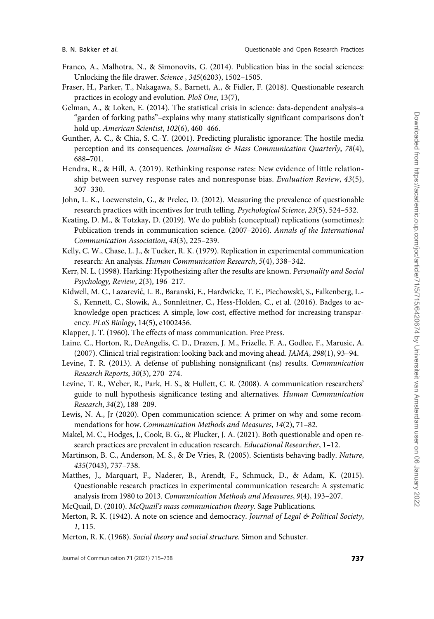- <span id="page-23-0"></span>Franco, A., Malhotra, N., & Simonovits, G. (2014). Publication bias in the social sciences: Unlocking the file drawer. Science , 345(6203), 1502–1505.
- Fraser, H., Parker, T., Nakagawa, S., Barnett, A., & Fidler, F. (2018). Questionable research practices in ecology and evolution. PloS One, 13(7),
- Gelman, A., & Loken, E. (2014). The statistical crisis in science: data-dependent analysis–a "garden of forking paths"–explains why many statistically significant comparisons don't hold up. American Scientist, 102(6), 460–466.
- Gunther, A. C., & Chia, S. C.-Y. (2001). Predicting pluralistic ignorance: The hostile media perception and its consequences. Journalism & Mass Communication Quarterly, 78(4), 688–701.
- Hendra, R., & Hill, A. (2019). Rethinking response rates: New evidence of little relationship between survey response rates and nonresponse bias. Evaluation Review, 43(5), 307–330.
- John, L. K., Loewenstein, G., & Prelec, D. (2012). Measuring the prevalence of questionable research practices with incentives for truth telling. Psychological Science, 23(5), 524–532.
- Keating, D. M., & Totzkay, D. (2019). We do publish (conceptual) replications (sometimes): Publication trends in communication science. (2007–2016). Annals of the International Communication Association, 43(3), 225–239.
- Kelly, C. W., Chase, L. J., & Tucker, R. K. (1979). Replication in experimental communication research: An analysis. Human Communication Research, 5(4), 338–342.
- Kerr, N. L. (1998). Harking: Hypothesizing after the results are known. Personality and Social Psychology, Review, 2(3), 196–217.
- Kidwell, M. C., Lazarevic, L. B., Baranski, E., Hardwicke, T. E., Piechowski, S., Falkenberg, L.- S., Kennett, C., Slowik, A., Sonnleitner, C., Hess-Holden, C., et al. (2016). Badges to acknowledge open practices: A simple, low-cost, effective method for increasing transparency. PLoS Biology, 14(5), e1002456.
- Klapper, J. T. (1960). The effects of mass communication. Free Press.
- Laine, C., Horton, R., DeAngelis, C. D., Drazen, J. M., Frizelle, F. A., Godlee, F., Marusic, A. (2007). Clinical trial registration: looking back and moving ahead. JAMA, 298(1), 93–94.
- Levine, T. R. (2013). A defense of publishing nonsignificant (ns) results. Communication Research Reports, 30(3), 270–274.
- Levine, T. R., Weber, R., Park, H. S., & Hullett, C. R. (2008). A communication researchers' guide to null hypothesis significance testing and alternatives. Human Communication Research, 34(2), 188–209.
- Lewis, N. A., Jr (2020). Open communication science: A primer on why and some recommendations for how. Communication Methods and Measures, 14(2), 71–82.
- Makel, M. C., Hodges, J., Cook, B. G., & Plucker, J. A. (2021). Both questionable and open research practices are prevalent in education research. Educational Researcher, 1–12.
- Martinson, B. C., Anderson, M. S., & De Vries, R. (2005). Scientists behaving badly. Nature, 435(7043), 737–738.
- Matthes, J., Marquart, F., Naderer, B., Arendt, F., Schmuck, D., & Adam, K. (2015). Questionable research practices in experimental communication research: A systematic analysis from 1980 to 2013. Communication Methods and Measures, 9(4), 193–207.
- McQuail, D. (2010). McQuail's mass communication theory. Sage Publications.
- Merton, R. K. (1942). A note on science and democracy. Journal of Legal & Political Society, 1, 115.
- Merton, R. K. (1968). Social theory and social structure. Simon and Schuster.